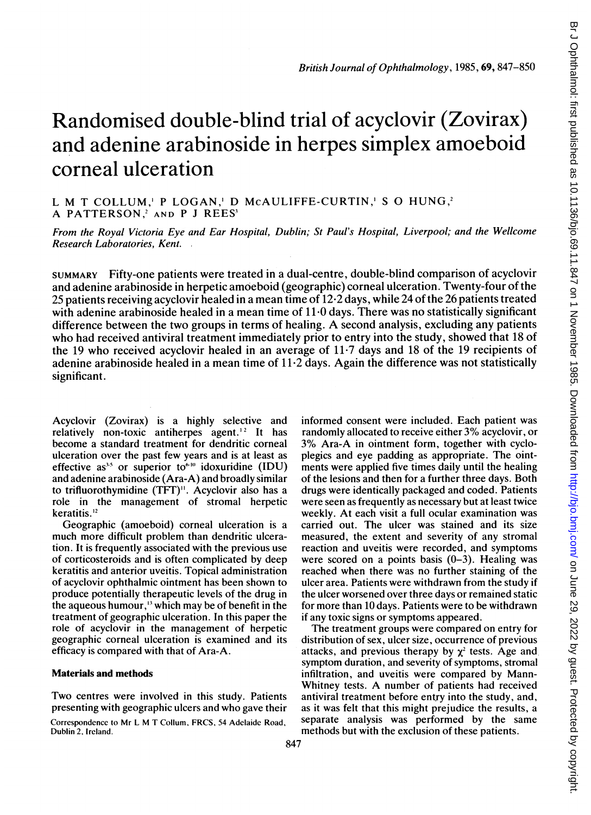# Randomised double-blind trial of acyclovir (Zovirax) and adenine arabinoside in herpes simplex amoeboid corneal ulceration

L M T COLLUM,' P LOGAN,' D McAULIFFE-CURTIN,' S O HUNG,2 A PATTERSON,<sup>2</sup> AND P J REES<sup>3</sup>

From the Royal Victoria Eye and Ear Hospital, Dublin; St Paul's Hospital, Liverpool; and the Wellcome Research Laboratories, Kent.

SUMMARY Fifty-one patients were treated in a dual-centre, double-blind comparison of acyclovir and adenine arabinoside in herpetic amoeboid (geographic) corneal ulceration. Twenty-four of the 25 patients receiving acyclovir healed in a mean time of 12-2 days, while 24 of the 26 patients treated with adenine arabinoside healed in a mean time of 11.0 days. There was no statistically significant difference between the two groups in terms of healing. A second analysis, excluding any patients who had received antiviral treatment immediately prior to entry into the study, showed that 18 of the <sup>19</sup> who received acyclovir healed in an average of 11-7 days and <sup>18</sup> of the 19 recipients of adenine arabinoside healed in a mean time of  $11.2$  days. Again the difference was not statistically significant.

Acyclovir (Zovirax) is a highly selective and relatively non-toxic antiherpes agent.<sup>12</sup> It has become a standard treatment for dendritic corneal ulceration over the past few years and is at least as effective as<sup>3.5</sup> or superior to<sup>6.10</sup> idoxuridine (IDU) and adenine arabinoside (Ara-A) and broadly similar to trifluorothymidine (TFT)". Acyclovir also has a role in the management of stromal herpetic keratitis.<sup>12</sup>

Geographic (amoeboid) corneal ulceration is a much more difficult problem than dendritic ulceration. It is frequently associated with the previous use of corticosteroids and is often complicated by deep keratitis and anterior uveitis. Topical administration of acyclovir ophthalmic ointment has been shown to produce potentially therapeutic levels of the drug in the aqueous humour,'3 which may be of benefit in the treatment of geographic ulceration. In this paper the role of acyclovir in the management of herpetic geographic corneal ulceration is examined and its efficacy is compared with that of Ara-A.

#### Materials and methods

Two centres were involved in this study. Patients presenting with geographic ulcers and who gave their

Correspondence to Mr L M T Collum, FRCS, <sup>54</sup> Adelaide Road, Dublin 2, Ircland.

informed consent were included. Each patient was randomly allocated to receive either 3% acyclovir, or 3% Ara-A in ointment form, together with cycloplegics and eye padding as appropriate. The ointments were applied five times daily until the healing of the lesions and then for a further three days. Both drugs were identically packaged and coded. Patients were seen as frequently as necessary but at least twice weekly. At each visit a full ocular examination was carried out. The ulcer was stained and its size measured, the extent and severity of any stromal reaction and uveitis were recorded, and symptoms were scored on a points basis  $(0-3)$ . Healing was reached when there was no further staining of the ulcer area. Patients were withdrawn from the study if the ulcer worsened over three days or remained static for more than 10 days. Patients were to be withdrawn if any toxic signs or symptoms appeared.

The treatment groups were compared on entry for distribution of sex, ulcer size, occurrence of previous attacks, and previous therapy by  $\chi^2$  tests. Age and symptom duration, and severity of symptoms, stromal infiltration, and uveitis were compared by Mann-Whitney tests. A number of patients had received antiviral treatment before entry into the study, and, as it was felt that this might prejudice the results, a separate analysis was performed by the same methods but with the exclusion of these patients.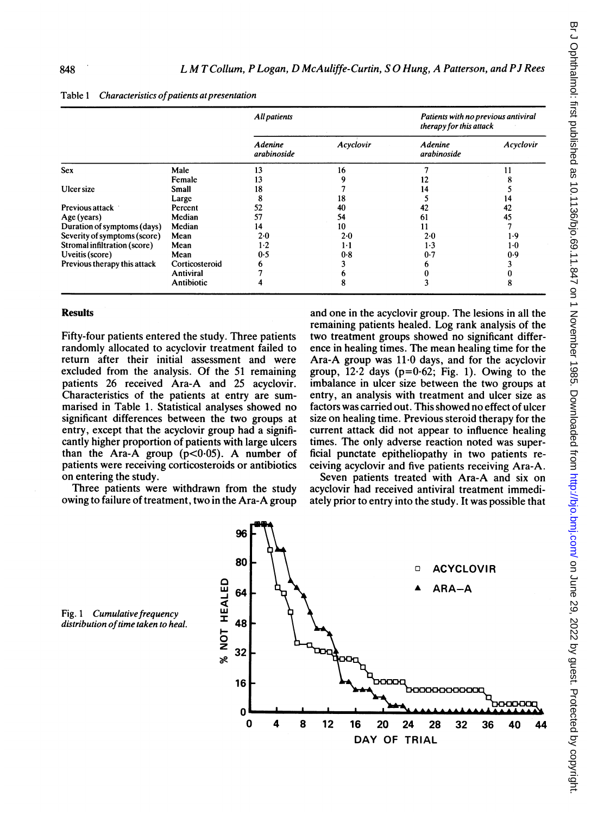|                              |                | All patients                  |           | Patients with no previous antiviral<br>therapy for this attack |           |
|------------------------------|----------------|-------------------------------|-----------|----------------------------------------------------------------|-----------|
|                              |                | <b>Adenine</b><br>arabinoside | Acyclovir | Adenine<br>arabinoside                                         | Acyclovir |
| <b>Sex</b>                   | Male           | 13                            | 16        |                                                                |           |
|                              | Female         | 13                            |           | 12                                                             |           |
| Ulcer size                   | Small          | 18                            |           | 14                                                             |           |
|                              | Large          | 8                             | 18        |                                                                | 14        |
| Previous attack              | Percent        | 52                            | 40        | 42                                                             | 42        |
| Age (years)                  | Median         | 57                            | 54        | 61                                                             | 45        |
| Duration of symptoms (days)  | Median         | 14                            | 10        | 11                                                             |           |
| Severity of symptoms (score) | Mean           | 2.0                           | 2.0       | 2.0                                                            | 1.9       |
| Stromal infiltration (score) | Mean           | $1-2$                         | 1.1       | $1-3$                                                          | $1-0$     |
| Uveitis (score)              | Mean           | 0.5                           | 0.8       | 0.7                                                            | 0.9       |
| Previous therapy this attack | Corticosteroid | n                             |           |                                                                |           |
|                              | Antiviral      |                               |           |                                                                |           |
|                              | Antibiotic     |                               |           |                                                                | 8         |

Table 1 Characteristics of patients at presentation

## **Results**

Fifty-four patients entered the study. Three patients randomly allocated to acyclovir treatment failed to return after their initial assessment and were excluded from the analysis. Of the 51 remaining patients 26 received Ara-A and 25 acyclovir. Characteristics of the patients at entry are summarised in Table 1. Statistical analyses showed no significant differences between the two groups at entry, except that the acyclovir group had a significantly higher proportion of patients with large ulcers than the Ara-A group  $(p<0.05)$ . A number of patients were receiving corticosteroids or antibiotics on entering the study.

Three patients were withdrawn from the study owing to failure of treatment, two in the Ara-A group

and one in the acyclovir group. The lesions in all the remaining patients healed. Log rank analysis of the two treatment groups showed no significant difference in healing times. The mean healing time for the Ara-A group was 11-0 days, and for the acyclovir group,  $12.2$  days ( $p=0.62$ ; Fig. 1). Owing to the imbalance in ulcer size between the two groups at entry, an analysis with treatment and ulcer size as factors was carried out. This showed no effect of ulcer size on healing time. Previous steroid therapy for the current attack did not appear to influence healing times. The only adverse reaction noted was superficial punctate epitheliopathy in two patients receiving acyclovir and five patients receiving Ara-A.

Seven patients treated with Ara-A and six on acyclovir had received antiviral treatment immediately prior to entry into the study. It was possible that



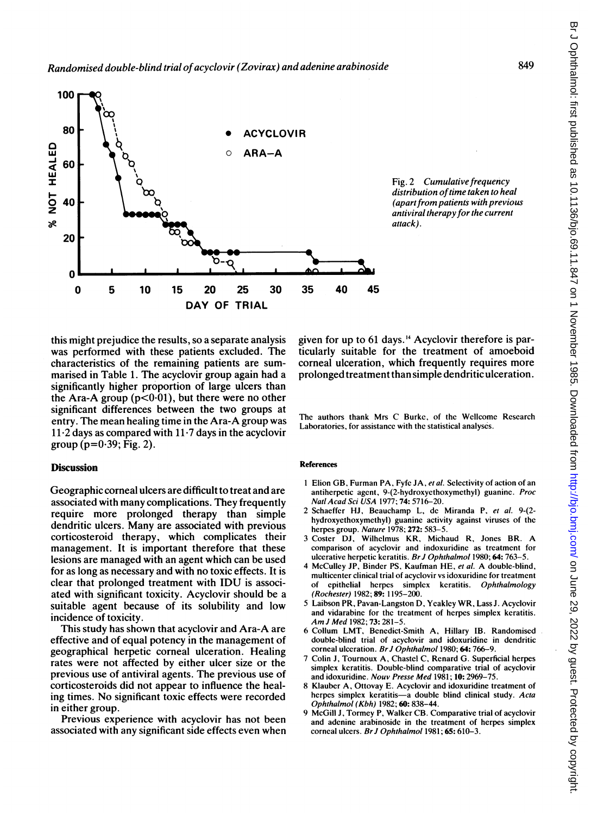

Fig. 2 Cumulative frequency distribution of time taken to heal (apart from patients with previous antiviral therapyfor the current attack).

this might prejudice the results, so a separate analysis was performed with these patients excluded. The characteristics of the remaining patients are summarised in Table 1. The acyclovir group again had a significantly higher proportion of large ulcers than the Ara-A group  $(p<0.01)$ , but there were no other significant differences between the two groups at entry. The mean healing time in the Ara-A group was  $11.2$  days as compared with  $11.7$  days in the acyclovir group ( $p=0.39$ ; Fig. 2).

### **Discussion**

Geographic corneal ulcers are difficult to treat and are associated with many complications. They frequently require more prolonged therapy than simple dendritic ulcers. Many are associated with previous corticosteroid therapy, which complicates their management. It is important therefore that these lesions are managed with an agent which can be used for as long as necessary and with no toxic effects. It is clear that prolonged treatment with IDU is associated with significant toxicity. Acyclovir should be a suitable agent because of its solubility and low incidence of toxicity.

This study has shown that acyclovir and Ara-A are effective and of equal potency in the management of geographical herpetic corneal ulceration. Healing rates were not affected by either ulcer size or the previous use of antiviral agents. The previous use of corticosteroids did not appear to influence the healing times. No significant toxic effects were recorded in either group.

Previous experience with acyclovir has not been associated with any significant side effects even when given for up to 61 days.'4 Acyclovir therefore is particularly suitable for the treatment of amoeboid corneal ulceration, which frequently requires more prolonged treatment than simple dendritic ulceration.

The authors thank Mrs C Burke, of the Wellcome Research Laboratories, for assistance with the statistical analyses.

#### References

- <sup>1</sup> Elion GB, Furman PA, Fyfe JA, et al. Selectivity of action of an antiherpetic agent, 9-(2-hydroxyethoxymethyl) guanine. Proc Natl Acad Sci USA 1977; 74: 5716-20.
- 2 Schaeffer HJ, Beauchamp L, de Miranda P, et al. 9-(2 hydroxyethoxymethyl) guanine activity against viruses of the herpes group. Nature 1978; 272: 583-5.
- <sup>3</sup> Coster DJ, Wilhelmus KR, Michaud R, Jones BR. A comparison of acyclovir and indoxuridine as treatment for ulcerative herpetic keratitis. Br J Ophthalmol 1980; 64: 763-5.
- <sup>4</sup> McCulley JP, Binder PS, Kaufman HE, et al. A double-blind, multicenter clinical trial of acyclovir vs idoxuridine for treatment of epithelial herpes simplex keratitis. Ophthalmology (Rochester) 1982; 89: 1195-200.
- <sup>5</sup> Laibson PR, Pavan-Langston D, Ycakley WR, Lass J. Acyclovir and vidarabine for the treatment of herpes simplex keratitis. Am<sup>J</sup> Med 1982; 73: 281-5.
- 6 Collum LMT, Benedict-Smith A, Hillary IB. Randomised double-blind trial of acyctovir and idoxuridine in dendritic corneal ulceration. Br J Ophthalmol 1980; 64: 766-9.
- 7 Colin J, Tournoux A, Chastel C, Renard G. Superficial herpes simplex keratitis. Double-blind comparative trial of acyclovir and idoxuridine. Nouv Presse Med 1981; 10: 2969-75.
- 8 Klauber A, Ottovay E. Acyclovir and idoxuridine treatment of herpes simplex keratitis-a double blind clinical study. Acta Ophthalmol (Kbh) 1982; 60: 838-44.
- 9 McGill J, Tormey P, Walker CB. Comparative trial of acyclovir and adenine arabinoside in the treatment of herpes simplex corneal ulcers. Br J Ophthalmol 1981; 65: 610-3.